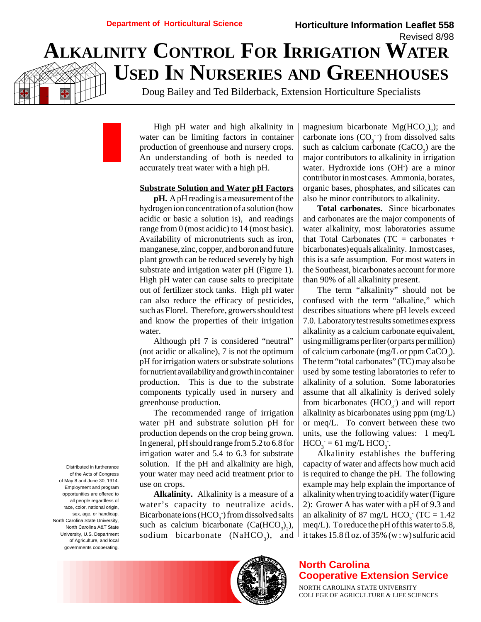# Revised 8/98 **ALKALINITY CONTROL FOR IRRIGATION WATER USED IN NURSERIES AND GREENHOUSES**

Doug Bailey and Ted Bilderback, Extension Horticulture Specialists

High pH water and high alkalinity in water can be limiting factors in container production of greenhouse and nursery crops. An understanding of both is needed to accurately treat water with a high pH.

#### **Substrate Solution and Water pH Factors**

**pH.** A pH reading is a measurement of the hydrogen ion concentration of a solution (how acidic or basic a solution is), and readings range from 0 (most acidic) to 14 (most basic). Availability of micronutrients such as iron, manganese, zinc, copper, and boron and future plant growth can be reduced severely by high substrate and irrigation water pH (Figure 1). High pH water can cause salts to precipitate out of fertilizer stock tanks. High pH water can also reduce the efficacy of pesticides, such as Florel. Therefore, growers should test and know the properties of their irrigation water.

Although pH 7 is considered "neutral" (not acidic or alkaline), 7 is not the optimum pH for irrigation waters or substrate solutions for nutrient availability and growth in container production. This is due to the substrate components typically used in nursery and greenhouse production.

The recommended range of irrigation water pH and substrate solution pH for production depends on the crop being grown. In general, pH should range from 5.2 to 6.8 for irrigation water and 5.4 to 6.3 for substrate solution. If the pH and alkalinity are high, your water may need acid treatment prior to use on crops.

**Alkalinity.** Alkalinity is a measure of a water's capacity to neutralize acids. Bicarbonate ions (HCO<sub>3</sub><sup>-</sup>) from dissolved salts such as calcium bicarbonate  $(Ca(HCO<sub>3</sub>)<sub>2</sub>)$ , sodium bicarbonate (Na $HCO<sub>3</sub>$ ), and

magnesium bicarbonate  $Mg(HCO<sub>3</sub>)<sub>2</sub>$ ); and carbonate ions  $(CO_3^-)$  from dissolved salts such as calcium carbonate  $(CaCO<sub>3</sub>)$  are the major contributors to alkalinity in irrigation water. Hydroxide ions (OH<sup>-</sup>) are a minor contributor in most cases. Ammonia, borates, organic bases, phosphates, and silicates can also be minor contributors to alkalinity.

**Horticulture Information Leaflet 558**

**Total carbonates.** Since bicarbonates and carbonates are the major components of water alkalinity, most laboratories assume that Total Carbonates ( $TC =$  carbonates + bicarbonates) equals alkalinity. In most cases, this is a safe assumption. For most waters in the Southeast, bicarbonates account for more than 90% of all alkalinity present.

The term "alkalinity" should not be confused with the term "alkaline," which describes situations where pH levels exceed 7.0. Laboratory test results sometimes express alkalinity as a calcium carbonate equivalent, using milligrams per liter (or parts per million) of calcium carbonate (mg/L or ppm  $CaCO<sub>3</sub>$ ). The term "total carbonates" (TC) may also be used by some testing laboratories to refer to alkalinity of a solution. Some laboratories assume that all alkalinity is derived solely from bicarbonates  $(HCO<sub>3</sub>)$  and will report alkalinity as bicarbonates using ppm (mg/L) or meq/L. To convert between these two units, use the following values: 1 meq/L  $HCO_3 = 61$  mg/L  $HCO_3$ .

Alkalinity establishes the buffering capacity of water and affects how much acid is required to change the pH. The following example may help explain the importance of alkalinity when trying to acidify water (Figure 2): Grower A has water with a pH of 9.3 and an alkalinity of 87 mg/L  $HCO<sub>3</sub>$  (TC = 1.42) meq/L). To reduce the pH of this water to 5.8, it takes 15.8 fl oz. of 35% (w : w) sulfuric acid

of the Acts of Congress of May 8 and June 30, 1914. Employment and program opportunities are offered to all people regardless of race, color, national origin, sex, age, or handicap. North Carolina State University, North Carolina A&T State University, U.S. Department of Agriculture, and local governments cooperating.

Distributed in furtherance



# **North Carolina Cooperative Extension Service**

NORTH CAROLINA STATE UNIVERSITY COLLEGE OF AGRICULTURE & LIFE SCIENCES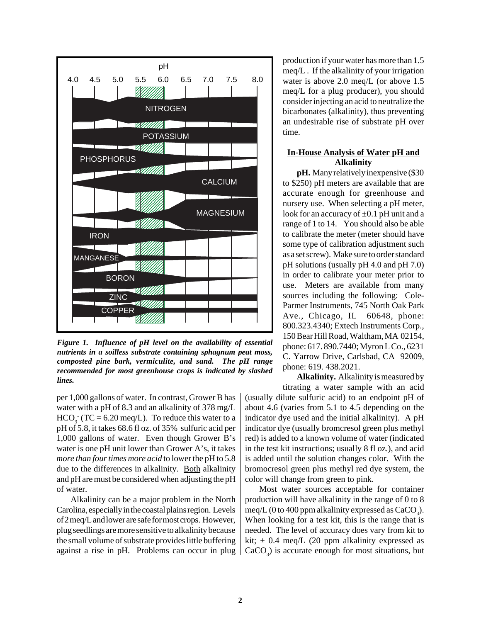

*Figure 1. Influence of pH level on the availability of essential nutrients in a soilless substrate containing sphagnum peat moss, composted pine bark, vermiculite, and sand. The pH range recommended for most greenhouse crops is indicated by slashed lines.*

per 1,000 gallons of water. In contrast, Grower B has water with a pH of 8.3 and an alkalinity of 378 mg/L  $HCO<sub>3</sub>$  (TC = 6.20 meq/L). To reduce this water to a pH of 5.8, it takes 68.6 fl oz. of 35% sulfuric acid per 1,000 gallons of water. Even though Grower B's water is one pH unit lower than Grower A's, it takes *more than four times more acid* to lower the pH to 5.8 due to the differences in alkalinity. Both alkalinity and pH are must be considered when adjusting the pH of water.

Alkalinity can be a major problem in the North Carolina, especially in the coastal plains region. Levels of 2 meq/L and lower are safe for most crops. However, plug seedlings are more sensitive to alkalinity because the small volume of substrate provides little buffering against a rise in pH. Problems can occur in plug production if your water has more than 1.5 meq/L . If the alkalinity of your irrigation water is above 2.0 meq/L (or above 1.5 meq/L for a plug producer), you should consider injecting an acid to neutralize the bicarbonates (alkalinity), thus preventing an undesirable rise of substrate pH over time.

## **In-House Analysis of Water pH and Alkalinity**

**pH.** Many relatively inexpensive (\$30 to \$250) pH meters are available that are accurate enough for greenhouse and nursery use. When selecting a pH meter, look for an accuracy of  $\pm 0.1$  pH unit and a range of 1 to 14. You should also be able to calibrate the meter (meter should have some type of calibration adjustment such as a set screw). Make sure to order standard pH solutions (usually pH 4.0 and pH 7.0) in order to calibrate your meter prior to use. Meters are available from many sources including the following: Cole-Parmer Instruments, 745 North Oak Park Ave., Chicago, IL 60648, phone: 800.323.4340; Extech Instruments Corp., 150 Bear Hill Road, Waltham, MA 02154, phone: 617. 890.7440; Myron L Co., 6231 C. Yarrow Drive, Carlsbad, CA 92009, phone: 619. 438.2021.

**Alkalinity.** Alkalinity is measured by titrating a water sample with an acid

(usually dilute sulfuric acid) to an endpoint pH of about 4.6 (varies from 5.1 to 4.5 depending on the indicator dye used and the initial alkalinity). A pH indicator dye (usually bromcresol green plus methyl red) is added to a known volume of water (indicated in the test kit instructions; usually 8 fl oz.), and acid is added until the solution changes color. With the bromocresol green plus methyl red dye system, the color will change from green to pink.

Most water sources acceptable for container production will have alkalinity in the range of 0 to 8 meq/L (0 to 400 ppm alkalinity expressed as  $CaCO<sub>3</sub>$ ). When looking for a test kit, this is the range that is needed. The level of accuracy does vary from kit to kit;  $\pm$  0.4 meq/L (20 ppm alkalinity expressed as  $CaCO<sub>3</sub>$ ) is accurate enough for most situations, but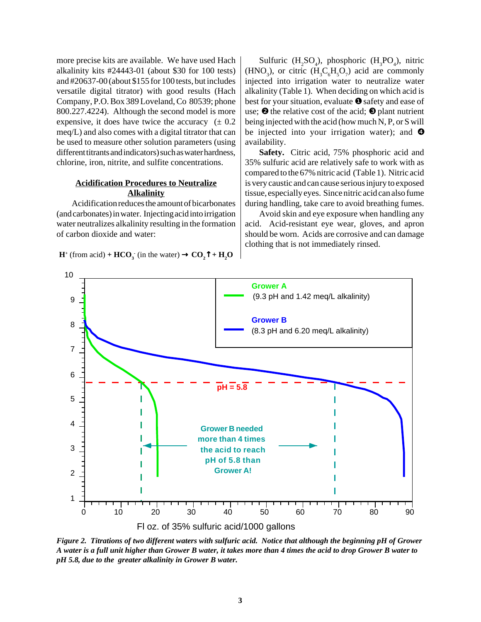more precise kits are available. We have used Hach alkalinity kits #24443-01 (about \$30 for 100 tests) and #20637-00 (about \$155 for 100 tests, but includes versatile digital titrator) with good results (Hach Company, P.O. Box 389 Loveland, Co 80539; phone 800.227.4224). Although the second model is more expensive, it does have twice the accuracy  $(± 0.2)$ meq/L) and also comes with a digital titrator that can be used to measure other solution parameters (using different titrants and indicators) such as water hardness, chlorine, iron, nitrite, and sulfite concentrations.

#### **Acidification Procedures to Neutralize Alkalinity**

 Acidification reduces the amount of bicarbonates (and carbonates) in water. Injecting acid into irrigation water neutralizes alkalinity resulting in the formation of carbon dioxide and water:

 $H^+$  (from acid) +  $HCO_3^-$  (in the water)  $\rightarrow CO_2^T + H_2O$ 

Sulfuric  $(H_2SO_4)$ , phosphoric  $(H_3PO_4)$ , nitric (HNO<sub>3</sub>), or citric  $(H<sub>3</sub>C<sub>6</sub>H<sub>5</sub>O<sub>7</sub>)$  acid are commonly injected into irrigation water to neutralize water alkalinity (Table 1). When deciding on which acid is best for your situation, evaluate ❶ safety and ease of use;  $\Theta$  the relative cost of the acid;  $\Theta$  plant nutrient being injected with the acid (how much N, P, or S will be injected into your irrigation water); and  $\bullet$ availability.

**Safety.** Citric acid, 75% phosphoric acid and 35% sulfuric acid are relatively safe to work with as compared to the 67% nitric acid (Table 1). Nitric acid is very caustic and can cause serious injury to exposed tissue, especially eyes. Since nitric acid can also fume during handling, take care to avoid breathing fumes.

Avoid skin and eye exposure when handling any acid. Acid-resistant eye wear, gloves, and apron should be worn. Acids are corrosive and can damage clothing that is not immediately rinsed.



*Figure 2. Titrations of two different waters with sulfuric acid. Notice that although the beginning pH of Grower A water is a full unit higher than Grower B water, it takes more than 4 times the acid to drop Grower B water to pH 5.8, due to the greater alkalinity in Grower B water.*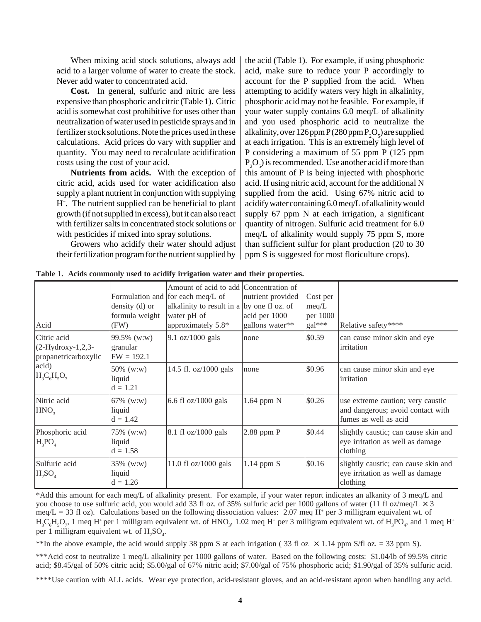When mixing acid stock solutions, always add acid to a larger volume of water to create the stock. Never add water to concentrated acid.

**Cost.** In general, sulfuric and nitric are less expensive than phosphoric and citric (Table 1). Citric acid is somewhat cost prohibitive for uses other than neutralization of water used in pesticide sprays and in fertilizer stock solutions. Note the prices used in these calculations. Acid prices do vary with supplier and quantity. You may need to recalculate acidification costs using the cost of your acid.

**Nutrients from acids.** With the exception of citric acid, acids used for water acidification also supply a plant nutrient in conjunction with supplying H+ . The nutrient supplied can be beneficial to plant growth (if not supplied in excess), but it can also react with fertilizer salts in concentrated stock solutions or with pesticides if mixed into spray solutions.

Growers who acidify their water should adjust their fertilization program for the nutrient supplied by the acid (Table 1). For example, if using phosphoric acid, make sure to reduce your P accordingly to account for the P supplied from the acid. When attempting to acidify waters very high in alkalinity, phosphoric acid may not be feasible. For example, if your water supply contains 6.0 meq/L of alkalinity and you used phosphoric acid to neutralize the alkalinity, over  $126$  ppm  $P(280$  ppm  $P_2O_5$ ) are supplied at each irrigation. This is an extremely high level of P considering a maximum of 55 ppm P (125 ppm  $P_2O_5$ ) is recommended. Use another acid if more than this amount of P is being injected with phosphoric acid. If using nitric acid, account for the additional N supplied from the acid. Using 67% nitric acid to acidify water containing 6.0 meq/L of alkalinity would supply 67 ppm N at each irrigation, a significant quantity of nitrogen. Sulfuric acid treatment for 6.0 meq/L of alkalinity would supply 75 ppm S, more than sufficient sulfur for plant production (20 to 30 ppm S is suggested for most floriculture crops).

| Acid                                                                                  | density $(d)$ or<br>formula weight<br>(FW) | Amount of acid to add Concentration of<br>Formulation and for each meq/L of<br>alkalinity to result in a by one fl oz. of<br>water pH of<br>approximately 5.8* | nutrient provided<br>acid per 1000<br>gallons water** | Cost per<br>meq/L<br>per 1000<br>$\text{gal}$ *** | Relative safety****                                                                             |
|---------------------------------------------------------------------------------------|--------------------------------------------|----------------------------------------------------------------------------------------------------------------------------------------------------------------|-------------------------------------------------------|---------------------------------------------------|-------------------------------------------------------------------------------------------------|
| Citric acid<br>$(2-Hydroxy-1,2,3-$<br>propanetricarboxylic<br>acid)<br>$H_3C_6H_5O_7$ | 99.5% (w:w)<br>granular<br>$FW = 192.1$    | 9.1 oz/1000 gals                                                                                                                                               | none                                                  | \$0.59                                            | can cause minor skin and eye<br>irritation                                                      |
|                                                                                       | 50% (w:w)<br>liquid<br>$d = 1.21$          | 14.5 fl. oz/1000 gals                                                                                                                                          | none                                                  | \$0.96                                            | can cause minor skin and eye<br>irritation                                                      |
| Nitric acid<br>HNO <sub>3</sub>                                                       | 67% (w:w)<br>liquid<br>$d = 1.42$          | 6.6 fl $oz/1000$ gals                                                                                                                                          | $1.64$ ppm $N$                                        | \$0.26                                            | use extreme caution; very caustic<br>and dangerous; avoid contact with<br>fumes as well as acid |
| Phosphoric acid<br>$H_3PO_4$                                                          | 75% (w:w)<br>liquid<br>$d = 1.58$          | 8.1 fl oz/1000 gals                                                                                                                                            | $2.88$ ppm P                                          | \$0.44                                            | slightly caustic; can cause skin and<br>eye irritation as well as damage<br>clothing            |
| Sulfuric acid<br>$H_2SO_4$                                                            | 35% (w:w)<br>liquid<br>$d = 1.26$          | 11.0 fl $oz/1000$ gals                                                                                                                                         | $1.14$ ppm S                                          | \$0.16                                            | slightly caustic; can cause skin and<br>eye irritation as well as damage<br>clothing            |

**Table 1. Acids commonly used to acidify irrigation water and their properties.**

\*Add this amount for each meq/L of alkalinity present. For example, if your water report indicates an alkanity of 3 meq/L and you choose to use sulfuric acid, you would add 33 fl oz. of 35% sulfuric acid per 1000 gallons of water (11 fl oz/meq/L  $\times$  3 meq/L = 33 fl oz). Calculations based on the following dissociation values: 2.07 meq H<sup>+</sup> per 3 milligram equivalent wt. of  $H_3C_6H_5O_7$ , 1 meq H<sup>+</sup> per 1 milligram equivalent wt. of HNO<sub>3</sub>, 1.02 meq H<sup>+</sup> per 3 milligram equivalent wt. of H<sub>3</sub>PO<sub>4</sub>, and 1 meq H<sup>+</sup> per 1 milligram equivalent wt. of  $H_2SO_4$ .

\*\*In the above example, the acid would supply 38 ppm S at each irrigation (33 fl oz  $\times$  1.14 ppm S/fl oz. = 33 ppm S).

\*\*\*Acid cost to neutralize 1 meq/L alkalinity per 1000 gallons of water. Based on the following costs: \$1.04/lb of 99.5% citric acid; \$8.45/gal of 50% citric acid; \$5.00/gal of 67% nitric acid; \$7.00/gal of 75% phosphoric acid; \$1.90/gal of 35% sulfuric acid.

\*\*\*\*Use caution with ALL acids. Wear eye protection, acid-resistant gloves, and an acid-resistant apron when handling any acid.